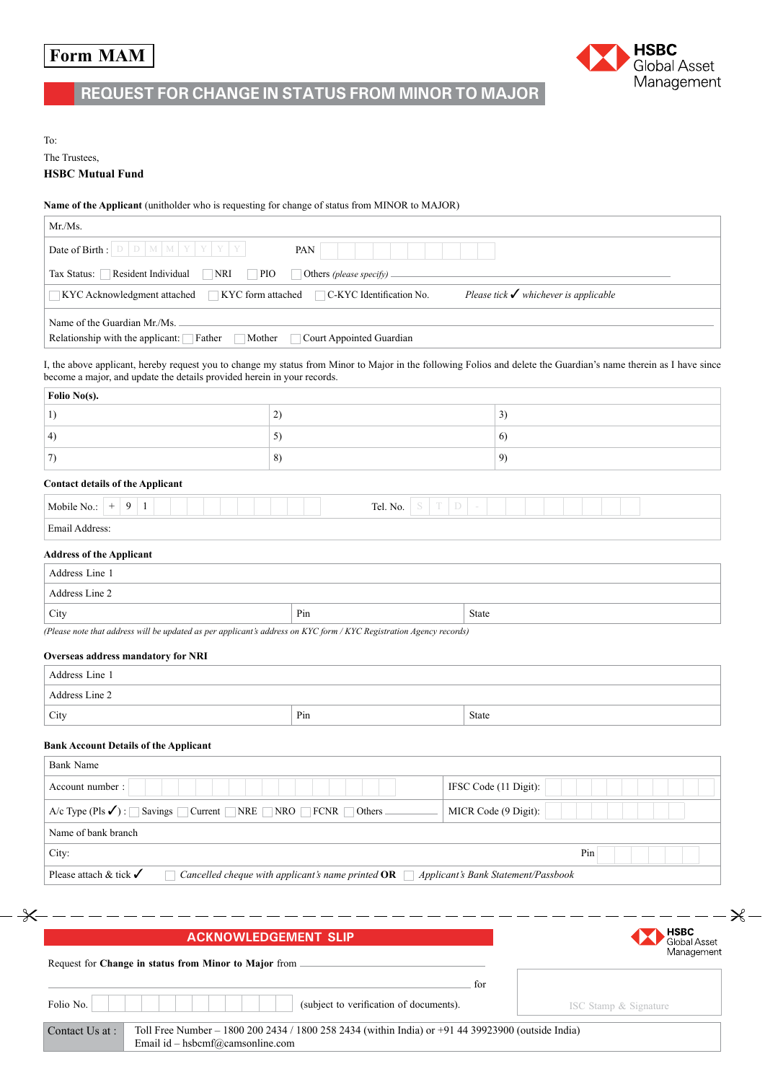# **Form MAM**



## **Request for change in status from Minor to Major**

To:

## The Trustees, **HSBC Mutual Fund**

## **Name of the Applicant** (unitholder who is requesting for change of status from MINOR to MAJOR)

|                                                                                                                                                                                                                                              | PAN                                |              |                                                  |
|----------------------------------------------------------------------------------------------------------------------------------------------------------------------------------------------------------------------------------------------|------------------------------------|--------------|--------------------------------------------------|
| Tax Status: Resident Individual<br>$\Box$ NRI                                                                                                                                                                                                | PIO<br>Others (please specify)     |              |                                                  |
| $\Box$ KYC form attached<br>KYC Acknowledgment attached                                                                                                                                                                                      | $\Box$ C-KYC Identification No.    |              | Please tick $\checkmark$ whichever is applicable |
|                                                                                                                                                                                                                                              |                                    |              |                                                  |
| Name of the Guardian Mr./Ms.<br>Relationship with the applicant: Father<br>Mother                                                                                                                                                            | Court Appointed Guardian<br>$\sim$ |              |                                                  |
| I, the above applicant, hereby request you to change my status from Minor to Major in the following Folios and delete the Guardian's name therein as I have since<br>become a major, and update the details provided herein in your records. |                                    |              |                                                  |
| Folio No(s).                                                                                                                                                                                                                                 |                                    |              |                                                  |
| 1)                                                                                                                                                                                                                                           | 2)                                 |              | 3)                                               |
| 4)                                                                                                                                                                                                                                           | 5)                                 |              | 6)                                               |
| 7)                                                                                                                                                                                                                                           | 8)                                 |              | 9)                                               |
| <b>Contact details of the Applicant</b>                                                                                                                                                                                                      |                                    |              |                                                  |
| Mobile No.: $+ 9 1$                                                                                                                                                                                                                          | Tel. No.                           | $S$ $T$ $D$  |                                                  |
| Email Address:                                                                                                                                                                                                                               |                                    |              |                                                  |
| <b>Address of the Applicant</b>                                                                                                                                                                                                              |                                    |              |                                                  |
| Address Line 1                                                                                                                                                                                                                               |                                    |              |                                                  |
| Address Line 2                                                                                                                                                                                                                               |                                    |              |                                                  |
| City                                                                                                                                                                                                                                         | Pin                                | <b>State</b> |                                                  |
| (Please note that address will be updated as per applicant's address on KYC form / KYC Registration Agency records)                                                                                                                          |                                    |              |                                                  |
| Overseas address mandatory for NRI                                                                                                                                                                                                           |                                    |              |                                                  |
|                                                                                                                                                                                                                                              |                                    |              |                                                  |
| Address Line 1                                                                                                                                                                                                                               |                                    |              |                                                  |
| Address Line 2                                                                                                                                                                                                                               |                                    |              |                                                  |
| City                                                                                                                                                                                                                                         | Pin                                | State        |                                                  |
|                                                                                                                                                                                                                                              |                                    |              |                                                  |
| <b>Bank Account Details of the Applicant</b><br><b>Bank Name</b>                                                                                                                                                                             |                                    |              |                                                  |
| Account number:                                                                                                                                                                                                                              |                                    |              | IFSC Code (11 Digit):                            |
| $A/c$ Type (Pls $\checkmark$ ) : Savings Current NRE NRO FCNR Others                                                                                                                                                                         |                                    |              | MICR Code (9 Digit):                             |
| Name of bank branch                                                                                                                                                                                                                          |                                    |              |                                                  |
| City:                                                                                                                                                                                                                                        |                                    |              | Pin                                              |

| <b>ACKNOWLEDGEMENT SLIP</b>                                                                                                                               |     | <b>HSBC</b><br>Global Asset |
|-----------------------------------------------------------------------------------------------------------------------------------------------------------|-----|-----------------------------|
| Request for Change in status from Minor to Major from                                                                                                     |     | Management                  |
| (subject to verification of documents).<br>Folio No.                                                                                                      | for | ISC Stamp & Signature       |
| Contact Us at :<br>Toll Free Number – 1800 200 2434 / 1800 258 2434 (within India) or +91 44 39923900 (outside India)<br>Email id – hsbcmf@camsonline.com |     |                             |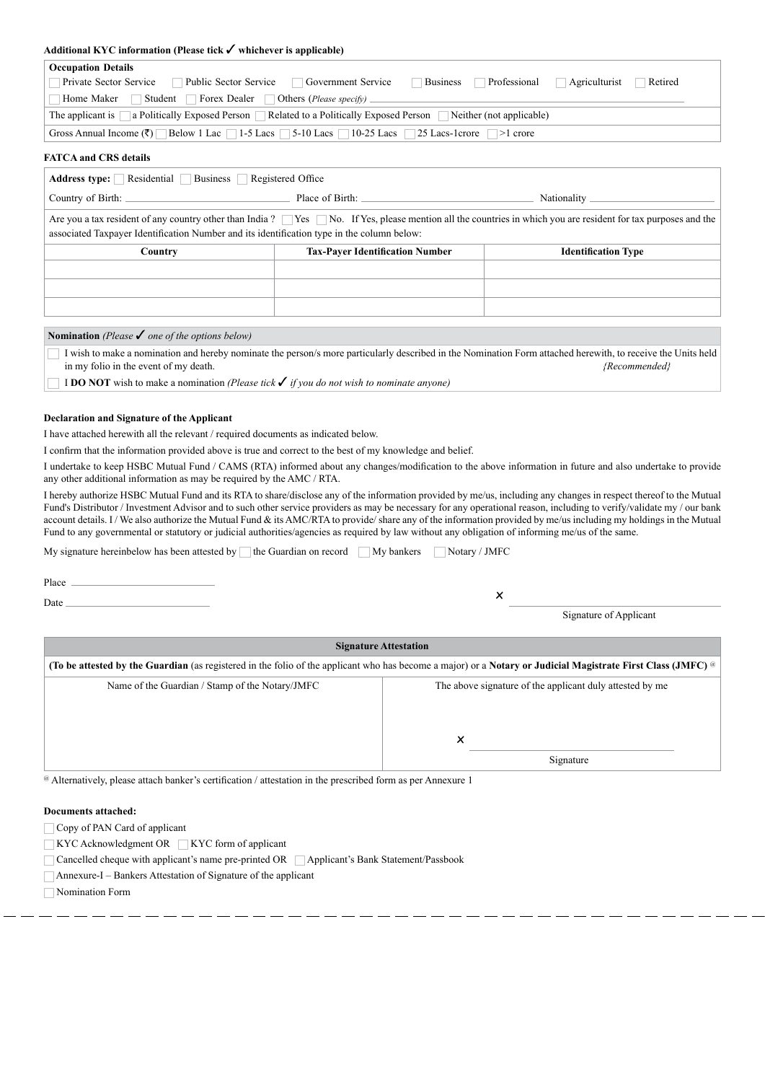### **Additional KYC information (Please tick** ✓ **whichever is applicable)**

| <b>Occupation Details</b>                                                                                                                   |  |  |  |
|---------------------------------------------------------------------------------------------------------------------------------------------|--|--|--|
| Private Sector Service<br>Public Sector Service<br>Retired<br><b>Government Service</b><br>Professional<br><b>Business</b><br>Agriculturist |  |  |  |
| Home Maker<br>Forex Dealer<br>Student<br>  Others ( <i>Please specify</i> ) $_{-}$                                                          |  |  |  |
| The applicant is a Politically Exposed Person Related to a Politically Exposed Person Neither (not applicable)                              |  |  |  |
| Gross Annual Income $(\bar{\zeta})$ Below 1 Lac 1-5 Lacs 5-10 Lacs 10-25 Lacs 25 Lacs-1 crore 1 -1 crore                                    |  |  |  |
|                                                                                                                                             |  |  |  |

#### **FATCA and CRS details**

| Address type: Residential Business Registered Office                                                                                                                                                                                                                    |                                        |                            |  |
|-------------------------------------------------------------------------------------------------------------------------------------------------------------------------------------------------------------------------------------------------------------------------|----------------------------------------|----------------------------|--|
|                                                                                                                                                                                                                                                                         |                                        | Nationality                |  |
| Are you a tax resident of any country other than India? $\Box$ Yes $\Box$ No. If Yes, please mention all the countries in which you are resident for tax purposes and the<br>associated Taxpayer Identification Number and its identification type in the column below: |                                        |                            |  |
| Country                                                                                                                                                                                                                                                                 | <b>Tax-Payer Identification Number</b> | <b>Identification Type</b> |  |
|                                                                                                                                                                                                                                                                         |                                        |                            |  |
|                                                                                                                                                                                                                                                                         |                                        |                            |  |
|                                                                                                                                                                                                                                                                         |                                        |                            |  |

#### **Nomination** *(Please* ✓ *one of the options below)*

I wish to make a nomination and hereby nominate the person/s more particularly described in the Nomination Form attached herewith, to receive the Units held in my folio in the event of my death. *{Recommended}*

I **DO NOT** wish to make a nomination *(Please tick* ✓ *if you do not wish to nominate anyone)*

#### **Declaration and Signature of the Applicant**

I have attached herewith all the relevant / required documents as indicated below.

I confirm that the information provided above is true and correct to the best of my knowledge and belief.

I undertake to keep HSBC Mutual Fund / CAMS (RTA) informed about any changes/modification to the above information in future and also undertake to provide any other additional information as may be required by the AMC / RTA.

I hereby authorize HSBC Mutual Fund and its RTA to share/disclose any of the information provided by me/us, including any changes in respect thereof to the Mutual Fund's Distributor / Investment Advisor and to such other service providers as may be necessary for any operational reason, including to verify/validate my / our bank account details. I/We also authorize the Mutual Fund & its AMC/RTA to provide/ share any of the information provided by me/us including my holdings in the Mutual Fund to any governmental or statutory or judicial authorities/agencies as required by law without any obligation of informing me/us of the same.

My signature hereinbelow has been attested by  $\Box$  the Guardian on record  $\Box$  My bankers  $\Box$  Notary / JMFC

Place \_

Date <sup>x</sup>

Signature of Applicant

| <b>Signature Attestation</b>                                                                                                                                       |                                                          |  |
|--------------------------------------------------------------------------------------------------------------------------------------------------------------------|----------------------------------------------------------|--|
|                                                                                                                                                                    |                                                          |  |
| (To be attested by the Guardian (as registered in the folio of the applicant who has become a major) or a Notary or Judicial Magistrate First Class (JMFC) $\circ$ |                                                          |  |
| Name of the Guardian / Stamp of the Notary/JMFC                                                                                                                    | The above signature of the applicant duly attested by me |  |
|                                                                                                                                                                    | ×<br>Signature                                           |  |

@ Alternatively, please attach banker's certification / attestation in the prescribed form as per Annexure 1

## **Documents attached:**

Copy of PAN Card of applicant

 $\Box$ KYC Acknowledgment OR  $\Box$ KYC form of applicant

□ Cancelled cheque with applicant's name pre-printed OR □ Applicant's Bank Statement/Passbook

Annexure-I – Bankers Attestation of Signature of the applicant

Nomination Form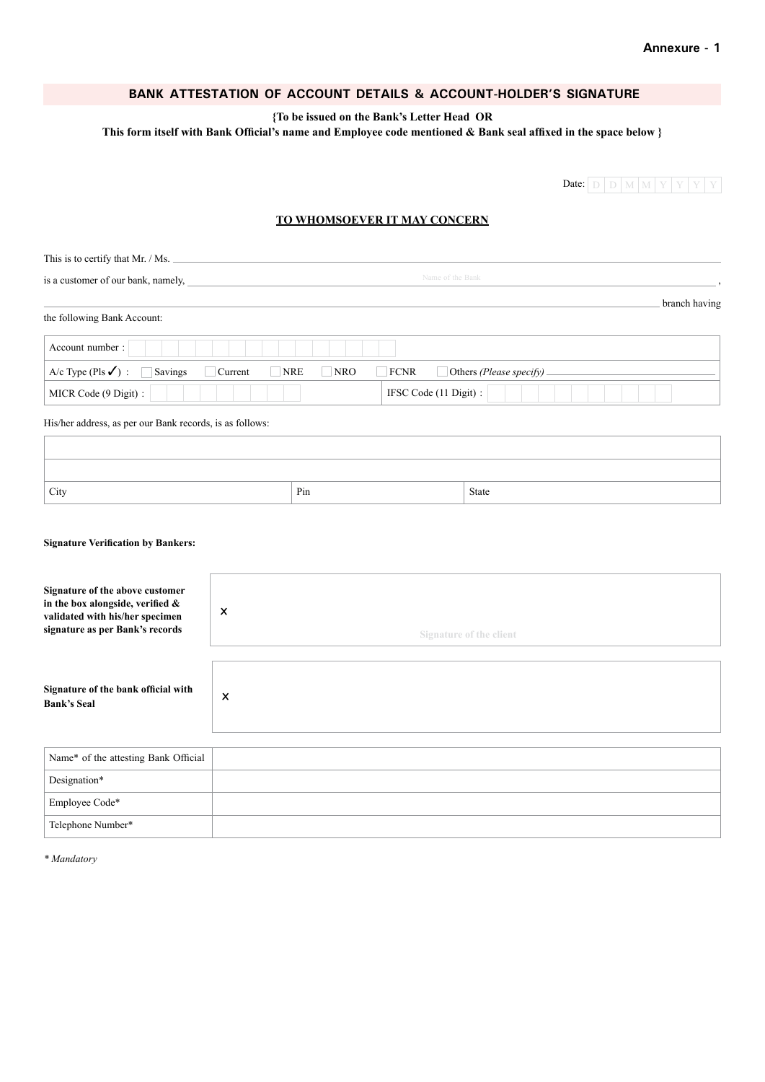## **Bank Attestation of Account Details & Account-holder's signature**

**{To be issued on the Bank's Letter Head OR**

**This form itself with Bank Official's name and Employee code mentioned & Bank seal affixed in the space below }**

Date:  $D$  D  $M$  M  $Y$  Y Y Y

## **TO WHOMSOEVER IT MAY CONCERN**

| This is to certify that Mr. / Ms.                           |                           |                         |  |
|-------------------------------------------------------------|---------------------------|-------------------------|--|
| Name of the Bank<br>is a customer of our bank, namely,      |                           |                         |  |
| the following Bank Account:                                 |                           | branch having           |  |
| Account number:                                             |                           |                         |  |
| A/c Type (Pls $\checkmark$ ) :<br><b>Savings</b><br>Current | NRE<br>NRO<br><b>FCNR</b> | Others (Please specify) |  |
| MICR Code (9 Digit) :                                       |                           | IFSC Code (11 Digit) :  |  |
| His/her address, as per our Bank records, is as follows:    |                           |                         |  |
|                                                             |                           |                         |  |
|                                                             |                           |                         |  |
| City                                                        | Pin                       | State                   |  |

## **Signature Verification by Bankers:**

| Signature of the above customer<br>in the box alongside, verified $\&$<br>validated with his/her specimen<br>signature as per Bank's records | $\boldsymbol{\mathsf{x}}$<br><b>Signature of the client</b> |
|----------------------------------------------------------------------------------------------------------------------------------------------|-------------------------------------------------------------|
| Signature of the bank official with<br><b>Bank's Seal</b>                                                                                    | $\times$                                                    |
| Name* of the attesting Bank Official                                                                                                         |                                                             |
| Designation*                                                                                                                                 |                                                             |

| Designation*      |  |
|-------------------|--|
| Employee Code*    |  |
| Telephone Number* |  |

*\* Mandatory*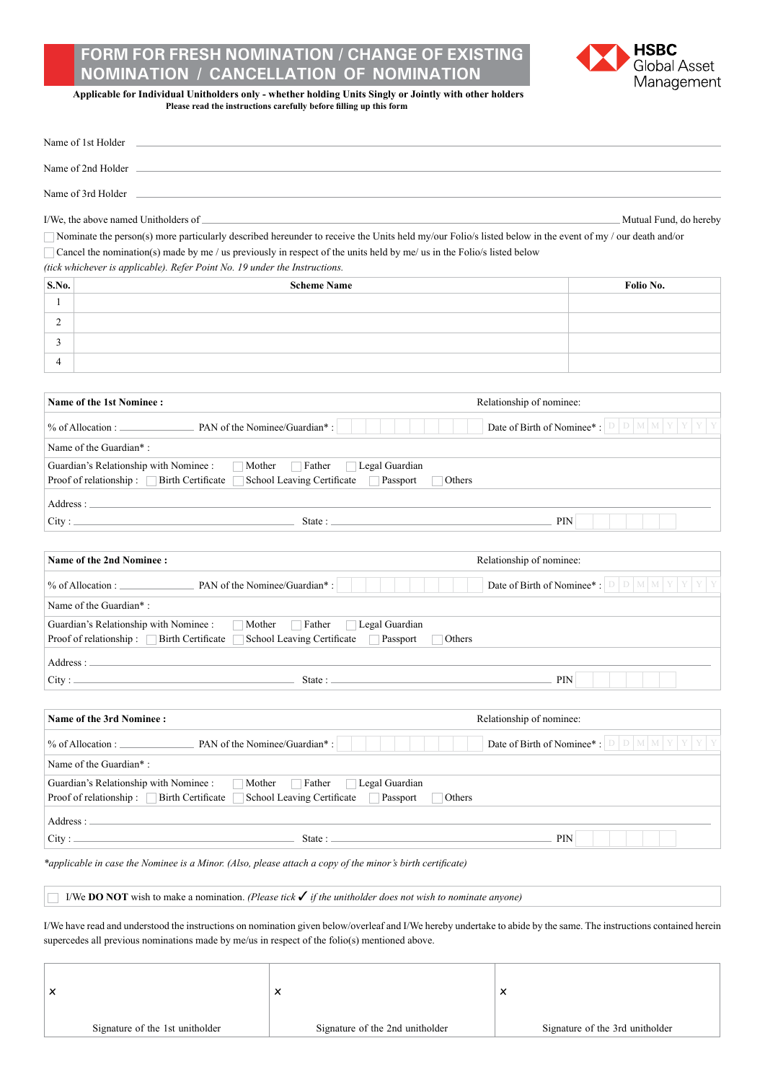## **Form for Fresh Nomination / Change of Existing Nomination / Cancellation of Nomination**



**Applicable for Individual Unitholders only - whether holding Units Singly or Jointly with other holders Please read the instructions carefully before filling up this form**

| Name of 1st Holder                                                                                                                                                                                                                                                                                                                                               |                                                                      |
|------------------------------------------------------------------------------------------------------------------------------------------------------------------------------------------------------------------------------------------------------------------------------------------------------------------------------------------------------------------|----------------------------------------------------------------------|
|                                                                                                                                                                                                                                                                                                                                                                  |                                                                      |
| Name of 3rd Holder                                                                                                                                                                                                                                                                                                                                               |                                                                      |
| I/We, the above named Unitholders of _                                                                                                                                                                                                                                                                                                                           | Mutual Fund, do hereby                                               |
| Nominate the person(s) more particularly described hereunder to receive the Units held my/our Folio/s listed below in the event of my / our death and/or<br>Cancel the nomination(s) made by me / us previously in respect of the units held by me/ us in the Folio/s listed below<br>(tick whichever is applicable). Refer Point No. 19 under the Instructions. |                                                                      |
| S.No.<br><b>Scheme Name</b>                                                                                                                                                                                                                                                                                                                                      | Folio No.                                                            |
| 1                                                                                                                                                                                                                                                                                                                                                                |                                                                      |
| 2                                                                                                                                                                                                                                                                                                                                                                |                                                                      |
| 3                                                                                                                                                                                                                                                                                                                                                                |                                                                      |
| 4                                                                                                                                                                                                                                                                                                                                                                |                                                                      |
|                                                                                                                                                                                                                                                                                                                                                                  |                                                                      |
| Name of the 1st Nominee:                                                                                                                                                                                                                                                                                                                                         | Relationship of nominee:                                             |
|                                                                                                                                                                                                                                                                                                                                                                  | Date of Birth of Nominee*: $\Box$ $\Box$ $\Box$ $\Box$ $\Box$ $\Box$ |
| Name of the Guardian*:                                                                                                                                                                                                                                                                                                                                           |                                                                      |
| Guardian's Relationship with Nominee :<br>$\Box$ Mother<br>Father                                                                                                                                                                                                                                                                                                | Legal Guardian                                                       |
| School Leaving Certificate<br>Proof of relationship : $\Box$ Birth Certificate                                                                                                                                                                                                                                                                                   | Passport<br>Others                                                   |
|                                                                                                                                                                                                                                                                                                                                                                  |                                                                      |
| State : $\overline{\phantom{a}}$<br>City:                                                                                                                                                                                                                                                                                                                        | <b>PIN</b>                                                           |
| <b>Name of the 2nd Nominee:</b>                                                                                                                                                                                                                                                                                                                                  | Relationship of nominee:                                             |
|                                                                                                                                                                                                                                                                                                                                                                  | Date of Birth of Nominee*: $\boxed{D \mid D \mid M \mid M \mid Y}$   |
| Name of the Guardian*:                                                                                                                                                                                                                                                                                                                                           |                                                                      |
| Guardian's Relationship with Nominee :<br>$\Box$ Father<br>Mother                                                                                                                                                                                                                                                                                                | Legal Guardian                                                       |
| Proof of relationship:<br>Birth Certificate<br>School Leaving Certificate                                                                                                                                                                                                                                                                                        | Passport<br>Others                                                   |
| Address: The contract of the contract of the contract of the contract of the contract of the contract of the contract of the contract of the contract of the contract of the contract of the contract of the contract of the c                                                                                                                                   |                                                                      |
| <u> 1989 - Johann Barn, mars ann an t-Amhain an t-Amhain an t-A</u><br>City:                                                                                                                                                                                                                                                                                     | State: $\frac{1}{2}$<br>PIN                                          |
|                                                                                                                                                                                                                                                                                                                                                                  |                                                                      |
|                                                                                                                                                                                                                                                                                                                                                                  |                                                                      |
| Name of the 3rd Nominee :                                                                                                                                                                                                                                                                                                                                        | Relationship of nominee:                                             |
| PAN of the Nominee/Guardian*:<br>% of Allocation :                                                                                                                                                                                                                                                                                                               | Date of Birth of Nominee*: $\Box$ $\Box$ $\Box$ $\Box$ $\Box$ $\Box$ |
| Name of the Guardian*:                                                                                                                                                                                                                                                                                                                                           |                                                                      |
| Guardian's Relationship with Nominee :<br>Father<br>Mother<br>School Leaving Certificate<br>Proof of relationship : □ Birth Certificate                                                                                                                                                                                                                          | Legal Guardian<br>Passport<br>Others                                 |
| Address:                                                                                                                                                                                                                                                                                                                                                         |                                                                      |

I/We **DO NOT** wish to make a nomination. *(Please tick* ✓ *if the unitholder does not wish to nominate anyone)*

I/We have read and understood the instructions on nomination given below/overleaf and I/We hereby undertake to abide by the same. The instructions contained herein supercedes all previous nominations made by me/us in respect of the folio(s) mentioned above.

| х                               | $\overline{\phantom{a}}$<br>⌒   | $\checkmark$<br>⌒               |
|---------------------------------|---------------------------------|---------------------------------|
| Signature of the 1st unitholder | Signature of the 2nd unitholder | Signature of the 3rd unitholder |